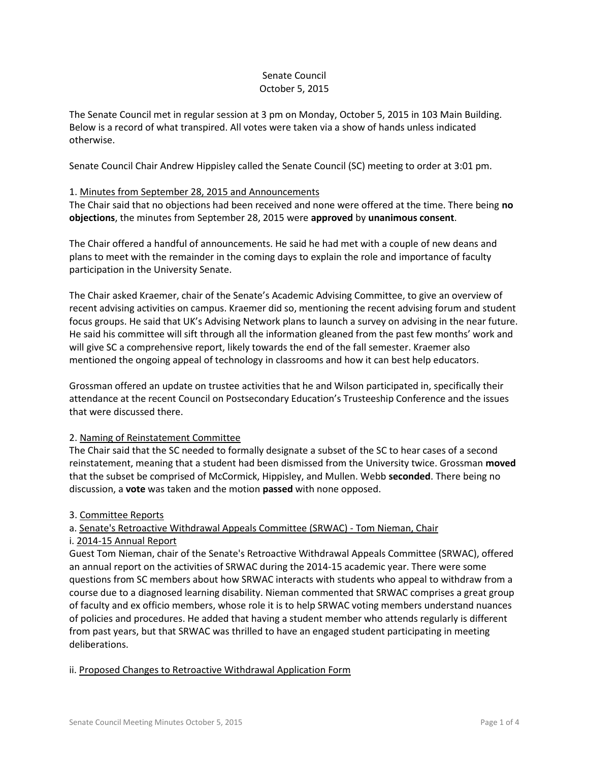## Senate Council October 5, 2015

The Senate Council met in regular session at 3 pm on Monday, October 5, 2015 in 103 Main Building. Below is a record of what transpired. All votes were taken via a show of hands unless indicated otherwise.

Senate Council Chair Andrew Hippisley called the Senate Council (SC) meeting to order at 3:01 pm.

## 1. Minutes from September 28, 2015 and Announcements

The Chair said that no objections had been received and none were offered at the time. There being **no objections**, the minutes from September 28, 2015 were **approved** by **unanimous consent**.

The Chair offered a handful of announcements. He said he had met with a couple of new deans and plans to meet with the remainder in the coming days to explain the role and importance of faculty participation in the University Senate.

The Chair asked Kraemer, chair of the Senate's Academic Advising Committee, to give an overview of recent advising activities on campus. Kraemer did so, mentioning the recent advising forum and student focus groups. He said that UK's Advising Network plans to launch a survey on advising in the near future. He said his committee will sift through all the information gleaned from the past few months' work and will give SC a comprehensive report, likely towards the end of the fall semester. Kraemer also mentioned the ongoing appeal of technology in classrooms and how it can best help educators.

Grossman offered an update on trustee activities that he and Wilson participated in, specifically their attendance at the recent Council on Postsecondary Education's Trusteeship Conference and the issues that were discussed there.

## 2. Naming of Reinstatement Committee

The Chair said that the SC needed to formally designate a subset of the SC to hear cases of a second reinstatement, meaning that a student had been dismissed from the University twice. Grossman **moved** that the subset be comprised of McCormick, Hippisley, and Mullen. Webb **seconded**. There being no discussion, a **vote** was taken and the motion **passed** with none opposed.

## 3. Committee Reports

## a. Senate's Retroactive Withdrawal Appeals Committee (SRWAC) - Tom Nieman, Chair i. 2014-15 Annual Report

Guest Tom Nieman, chair of the Senate's Retroactive Withdrawal Appeals Committee (SRWAC), offered an annual report on the activities of SRWAC during the 2014-15 academic year. There were some questions from SC members about how SRWAC interacts with students who appeal to withdraw from a course due to a diagnosed learning disability. Nieman commented that SRWAC comprises a great group of faculty and ex officio members, whose role it is to help SRWAC voting members understand nuances of policies and procedures. He added that having a student member who attends regularly is different from past years, but that SRWAC was thrilled to have an engaged student participating in meeting deliberations.

## ii. Proposed Changes to Retroactive Withdrawal Application Form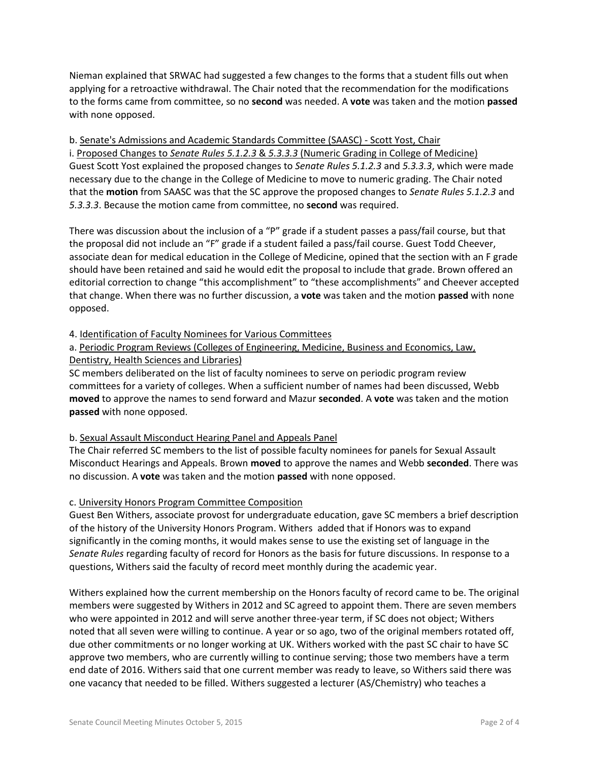Nieman explained that SRWAC had suggested a few changes to the forms that a student fills out when applying for a retroactive withdrawal. The Chair noted that the recommendation for the modifications to the forms came from committee, so no **second** was needed. A **vote** was taken and the motion **passed** with none opposed.

b. Senate's Admissions and Academic Standards Committee (SAASC) - Scott Yost, Chair i. Proposed Changes to *Senate Rules 5.1.2.3* & *5.3.3.3* (Numeric Grading in College of Medicine) Guest Scott Yost explained the proposed changes to *Senate Rules 5.1.2.3* and *5.3.3.3*, which were made necessary due to the change in the College of Medicine to move to numeric grading. The Chair noted that the **motion** from SAASC was that the SC approve the proposed changes to *Senate Rules 5.1.2.3* and *5.3.3.3*. Because the motion came from committee, no **second** was required.

There was discussion about the inclusion of a "P" grade if a student passes a pass/fail course, but that the proposal did not include an "F" grade if a student failed a pass/fail course. Guest Todd Cheever, associate dean for medical education in the College of Medicine, opined that the section with an F grade should have been retained and said he would edit the proposal to include that grade. Brown offered an editorial correction to change "this accomplishment" to "these accomplishments" and Cheever accepted that change. When there was no further discussion, a **vote** was taken and the motion **passed** with none opposed.

4. Identification of Faculty Nominees for Various Committees

a. Periodic Program Reviews (Colleges of Engineering, Medicine, Business and Economics, Law, Dentistry, Health Sciences and Libraries)

SC members deliberated on the list of faculty nominees to serve on periodic program review committees for a variety of colleges. When a sufficient number of names had been discussed, Webb **moved** to approve the names to send forward and Mazur **seconded**. A **vote** was taken and the motion **passed** with none opposed.

b. Sexual Assault Misconduct Hearing Panel and Appeals Panel

The Chair referred SC members to the list of possible faculty nominees for panels for Sexual Assault Misconduct Hearings and Appeals. Brown **moved** to approve the names and Webb **seconded**. There was no discussion. A **vote** was taken and the motion **passed** with none opposed.

# c. University Honors Program Committee Composition

Guest Ben Withers, associate provost for undergraduate education, gave SC members a brief description of the history of the University Honors Program. Withers added that if Honors was to expand significantly in the coming months, it would makes sense to use the existing set of language in the *Senate Rules* regarding faculty of record for Honors as the basis for future discussions. In response to a questions, Withers said the faculty of record meet monthly during the academic year.

Withers explained how the current membership on the Honors faculty of record came to be. The original members were suggested by Withers in 2012 and SC agreed to appoint them. There are seven members who were appointed in 2012 and will serve another three-year term, if SC does not object; Withers noted that all seven were willing to continue. A year or so ago, two of the original members rotated off, due other commitments or no longer working at UK. Withers worked with the past SC chair to have SC approve two members, who are currently willing to continue serving; those two members have a term end date of 2016. Withers said that one current member was ready to leave, so Withers said there was one vacancy that needed to be filled. Withers suggested a lecturer (AS/Chemistry) who teaches a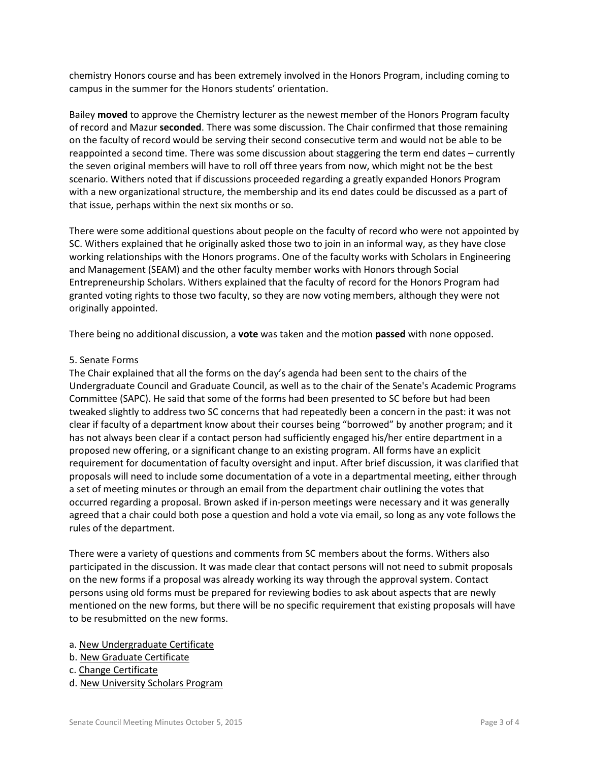chemistry Honors course and has been extremely involved in the Honors Program, including coming to campus in the summer for the Honors students' orientation.

Bailey **moved** to approve the Chemistry lecturer as the newest member of the Honors Program faculty of record and Mazur **seconded**. There was some discussion. The Chair confirmed that those remaining on the faculty of record would be serving their second consecutive term and would not be able to be reappointed a second time. There was some discussion about staggering the term end dates – currently the seven original members will have to roll off three years from now, which might not be the best scenario. Withers noted that if discussions proceeded regarding a greatly expanded Honors Program with a new organizational structure, the membership and its end dates could be discussed as a part of that issue, perhaps within the next six months or so.

There were some additional questions about people on the faculty of record who were not appointed by SC. Withers explained that he originally asked those two to join in an informal way, as they have close working relationships with the Honors programs. One of the faculty works with Scholars in Engineering and Management (SEAM) and the other faculty member works with Honors through Social Entrepreneurship Scholars. Withers explained that the faculty of record for the Honors Program had granted voting rights to those two faculty, so they are now voting members, although they were not originally appointed.

There being no additional discussion, a **vote** was taken and the motion **passed** with none opposed.

#### 5. Senate Forms

The Chair explained that all the forms on the day's agenda had been sent to the chairs of the Undergraduate Council and Graduate Council, as well as to the chair of the Senate's Academic Programs Committee (SAPC). He said that some of the forms had been presented to SC before but had been tweaked slightly to address two SC concerns that had repeatedly been a concern in the past: it was not clear if faculty of a department know about their courses being "borrowed" by another program; and it has not always been clear if a contact person had sufficiently engaged his/her entire department in a proposed new offering, or a significant change to an existing program. All forms have an explicit requirement for documentation of faculty oversight and input. After brief discussion, it was clarified that proposals will need to include some documentation of a vote in a departmental meeting, either through a set of meeting minutes or through an email from the department chair outlining the votes that occurred regarding a proposal. Brown asked if in-person meetings were necessary and it was generally agreed that a chair could both pose a question and hold a vote via email, so long as any vote follows the rules of the department.

There were a variety of questions and comments from SC members about the forms. Withers also participated in the discussion. It was made clear that contact persons will not need to submit proposals on the new forms if a proposal was already working its way through the approval system. Contact persons using old forms must be prepared for reviewing bodies to ask about aspects that are newly mentioned on the new forms, but there will be no specific requirement that existing proposals will have to be resubmitted on the new forms.

- a. New Undergraduate Certificate
- b. New Graduate Certificate
- c. Change Certificate
- d. New University Scholars Program